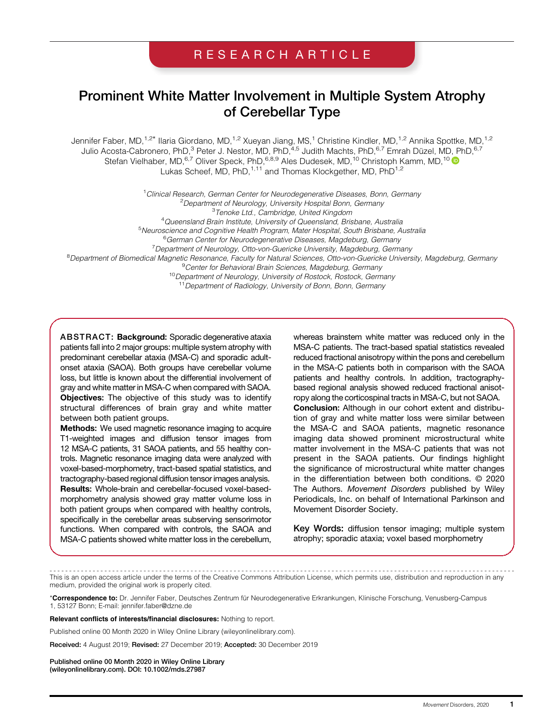# RESEARCH ARTICLE

# Prominent White Matter Involvement in Multiple System Atrophy of Cerebellar Type

Jennifer Faber, MD,<sup>1,2\*</sup> Ilaria Giordano, MD,<sup>1,2</sup> Xueyan Jiang, MS,<sup>1</sup> Christine Kindler, MD,<sup>1,2</sup> Annika Spottke, MD,<sup>1,2</sup> Julio Acosta-Cabronero, PhD,<sup>3</sup> Peter J. Nestor, MD, PhD,<sup>4,5</sup> Judith Machts, PhD,<sup>6,7</sup> Emrah Düzel, MD, PhD,<sup>6,7</sup> Stefan Vielhaber, MD, <sup>6,7</sup> Oliver Speck, PhD, <sup>6,8,9</sup> Ales Dudesek, MD, <sup>10</sup> Christoph Kamm, MD, <sup>10</sup> Lukas Scheef, MD, PhD, <sup>1,11</sup> and Thomas Klockgether, MD, PhD<sup>1,2</sup>

<sup>1</sup> Clinical Research, German Center for Neurodegenerative Diseases, Bonn, Germany <sup>2</sup> Department of Neurology, University Hospital Bonn, Germany<br><sup>3</sup> Tennke Ltd, Cambridge, United Kingdom <sup>3</sup>Tenoke Ltd., Cambridge, United Kingdom <sup>4</sup>Queensland Brain Institute, University of Queensland, Brisbane, Australia Queensland Brain Institute, University of Queensland, Brisbane, Australia <sup>5</sup> Neuroscience and Cognitive Health Program, Mater Hospital, South Brisbane, Australia <sup>6</sup>German Center for Neurodegenerative Diseases, Magdeburg, Germany <sup>7</sup> Department of Neurology, Otto-von-Guericke University, Magdeburg, Germany Department of Neurology, Otto-von-Guericke University, Magdeburg, Germany '<br><sup>8</sup>Department of Biomedical Magnetic Resonance, Faculty for Natural Sciences, Otto-von-Guericke University, Magdeburg, Germany <sup>9</sup> Center for Behavioral Brain Sciences, Magdeburg, Germany <sup>10</sup> Department of Neurology, University of Rostock, Rostock, Germany <sup>11</sup> Department of Radiology, University of Bonn, Bonn, Germany

ABSTRACT: Background: Sporadic degenerative ataxia patients fall into 2 major groups: multiple system atrophy with predominant cerebellar ataxia (MSA-C) and sporadic adultonset ataxia (SAOA). Both groups have cerebellar volume loss, but little is known about the differential involvement of gray and white matter in MSA-C when compared with SAOA. Objectives: The objective of this study was to identify structural differences of brain gray and white matter between both patient groups.

Methods: We used magnetic resonance imaging to acquire T1-weighted images and diffusion tensor images from 12 MSA-C patients, 31 SAOA patients, and 55 healthy controls. Magnetic resonance imaging data were analyzed with voxel-based-morphometry, tract-based spatial statistics, and tractography-based regional diffusion tensor images analysis. Results: Whole-brain and cerebellar-focused voxel-basedmorphometry analysis showed gray matter volume loss in both patient groups when compared with healthy controls, specifically in the cerebellar areas subserving sensorimotor functions. When compared with controls, the SAOA and MSA-C patients showed white matter loss in the cerebellum,

whereas brainstem white matter was reduced only in the MSA-C patients. The tract-based spatial statistics revealed reduced fractional anisotropy within the pons and cerebellum in the MSA-C patients both in comparison with the SAOA patients and healthy controls. In addition, tractographybased regional analysis showed reduced fractional anisotropy along the corticospinal tracts in MSA-C, but not SAOA. Conclusion: Although in our cohort extent and distribution of gray and white matter loss were similar between the MSA-C and SAOA patients, magnetic resonance imaging data showed prominent microstructural white matter involvement in the MSA-C patients that was not present in the SAOA patients. Our findings highlight the significance of microstructural white matter changes in the differentiation between both conditions. © 2020 The Authors. Movement Disorders published by Wiley Periodicals, Inc. on behalf of International Parkinson and Movement Disorder Society.

Key Words: diffusion tensor imaging; multiple system atrophy; sporadic ataxia; voxel based morphometry

----------------------------------------------------------------------------------------------------------------------- This is an open access article under the terms of the [Creative Commons Attribution](http://creativecommons.org/licenses/by/4.0/) License, which permits use, distribution and reproduction in any medium, provided the original work is properly cited.

\*Correspondence to: Dr. Jennifer Faber, Deutsches Zentrum für Neurodegenerative Erkrankungen, Klinische Forschung, Venusberg-Campus 1, 53127 Bonn; E-mail: [jennifer.faber@dzne.de](mailto:jennifer.faber@dzne.de)

Relevant conflicts of interests/financial disclosures: Nothing to report.

Published online 00 Month 2020 in Wiley Online Library ([wileyonlinelibrary.com](http://wileyonlinelibrary.com)).

Received: 4 August 2019; Revised: 27 December 2019; Accepted: 30 December 2019

Published online 00 Month 2020 in Wiley Online Library (wileyonlinelibrary.com). DOI: 10.1002/mds.27987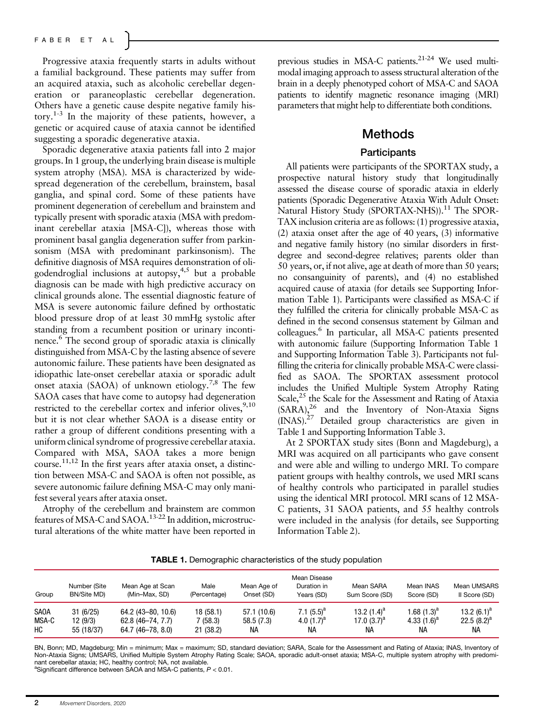Progressive ataxia frequently starts in adults without a familial background. These patients may suffer from an acquired ataxia, such as alcoholic cerebellar degeneration or paraneoplastic cerebellar degeneration. Others have a genetic cause despite negative family history.1-3 In the majority of these patients, however, a genetic or acquired cause of ataxia cannot be identified suggesting a sporadic degenerative ataxia.

Sporadic degenerative ataxia patients fall into 2 major groups. In 1 group, the underlying brain disease is multiple system atrophy (MSA). MSA is characterized by widespread degeneration of the cerebellum, brainstem, basal ganglia, and spinal cord. Some of these patients have prominent degeneration of cerebellum and brainstem and typically present with sporadic ataxia (MSA with predominant cerebellar ataxia [MSA-C]), whereas those with prominent basal ganglia degeneration suffer from parkinsonism (MSA with predominant parkinsonism). The definitive diagnosis of MSA requires demonstration of oligodendroglial inclusions at autopsy,  $4.5$  but a probable diagnosis can be made with high predictive accuracy on clinical grounds alone. The essential diagnostic feature of MSA is severe autonomic failure defined by orthostatic blood pressure drop of at least 30 mmHg systolic after standing from a recumbent position or urinary incontinence.<sup>6</sup> The second group of sporadic ataxia is clinically distinguished from MSA-C by the lasting absence of severe autonomic failure. These patients have been designated as idiopathic late-onset cerebellar ataxia or sporadic adult onset ataxia (SAOA) of unknown etiology.<sup>7,8</sup> The few SAOA cases that have come to autopsy had degeneration restricted to the cerebellar cortex and inferior olives,  $9,10$ but it is not clear whether SAOA is a disease entity or rather a group of different conditions presenting with a uniform clinical syndrome of progressive cerebellar ataxia. Compared with MSA, SAOA takes a more benign course.<sup>11,12</sup> In the first years after ataxia onset, a distinction between MSA-C and SAOA is often not possible, as severe autonomic failure defining MSA-C may only manifest several years after ataxia onset.

Atrophy of the cerebellum and brainstem are common features of MSA-C and SAOA.13-22 In addition, microstructural alterations of the white matter have been reported in previous studies in MSA-C patients.<sup>21-24</sup> We used multimodal imaging approach to assess structural alteration of the brain in a deeply phenotyped cohort of MSA-C and SAOA patients to identify magnetic resonance imaging (MRI) parameters that might help to differentiate both conditions.

#### Methods

#### **Participants**

All patients were participants of the SPORTAX study, a prospective natural history study that longitudinally assessed the disease course of sporadic ataxia in elderly patients (Sporadic Degenerative Ataxia With Adult Onset: Natural History Study (SPORTAX-NHS)).<sup>11</sup> The SPOR-TAX inclusion criteria are as follows: (1) progressive ataxia, (2) ataxia onset after the age of 40 years, (3) informative and negative family history (no similar disorders in firstdegree and second-degree relatives; parents older than 50 years, or, if not alive, age at death of more than 50 years; no consanguinity of parents), and (4) no established acquired cause of ataxia (for details see Supporting Information Table 1). Participants were classified as MSA-C if they fulfilled the criteria for clinically probable MSA-C as defined in the second consensus statement by Gilman and colleagues.6 In particular, all MSA-C patients presented with autonomic failure (Supporting Information Table 1 and Supporting Information Table 3). Participants not fulfilling the criteria for clinically probable MSA-C were classified as SAOA. The SPORTAX assessment protocol includes the Unified Multiple System Atrophy Rating Scale, $25$  the Scale for the Assessment and Rating of Ataxia  $(SARA)<sup>26</sup>$  and the Inventory of Non-Ataxia Signs (INAS).27 Detailed group characteristics are given in Table 1 and Supporting Information Table 3.

At 2 SPORTAX study sites (Bonn and Magdeburg), a MRI was acquired on all participants who gave consent and were able and willing to undergo MRI. To compare patient groups with healthy controls, we used MRI scans of healthy controls who participated in parallel studies using the identical MRI protocol. MRI scans of 12 MSA-C patients, 31 SAOA patients, and 55 healthy controls were included in the analysis (for details, see Supporting Information Table 2).

TABLE 1. Demographic characteristics of the study population

| Group       | Number (Site<br>BN/Site MD) | Mean Age at Scan<br>(Min-Max, SD) | Male<br>(Percentage) | Mean Age of<br>Onset (SD) | Mean Disease<br>Duration in<br>Years (SD) | Mean SARA<br>Sum Score (SD) | Mean INAS<br>Score (SD) | Mean UMSARS<br>Il Score (SD) |
|-------------|-----------------------------|-----------------------------------|----------------------|---------------------------|-------------------------------------------|-----------------------------|-------------------------|------------------------------|
| <b>SAOA</b> | 31(6/25)                    | $64.2(43 - 80, 10.6)$             | 18 (58.1)            | 57.1 (10.6)               | 7.1 $(5.5)^a$                             | 13.2 $(1.4)^a$              | 1.68 (1.3) $^{\rm a}$   | 13.2 $(6.1)^a$               |
| MSA-C       | 12 (9/3)                    | 62.8 (46–74, 7.7)                 | 7 (58.3)             | 58.5(7.3)                 | 4.0 $(1.7)^a$                             | 17.0 $(3.7)^a$              | 4.33 $(1.6)^a$          | 22.5 $(8.2)^a$               |
| HC          | 55 (18/37)                  | $64.7(46 - 78, 8.0)$              | 21 (38.2)            | NА                        | NА                                        | NА                          | NА                      | NА                           |

BN, Bonn; MD, Magdeburg; Min = minimum; Max = maximum; SD, standard deviation; SARA, Scale for the Assessment and Rating of Ataxia; INAS, Inventory of Non-Ataxia Signs; UMSARS, Unified Multiple System Atrophy Rating Scale; SAOA, sporadic adult-onset ataxia; MSA-C, multiple system atrophy with predominant cerebellar ataxia; HC, healthy control; NA, not available.

<sup>a</sup>Significant difference between SAOA and MSA-C patients,  $P < 0.01$ .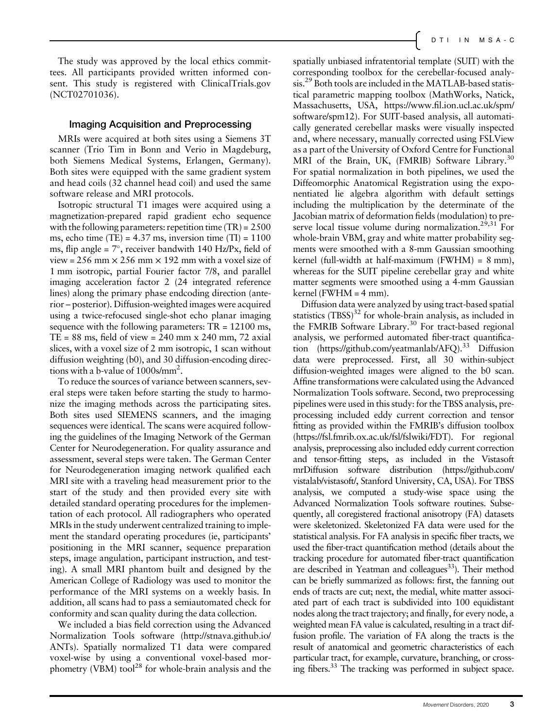The study was approved by the local ethics committees. All participants provided written informed consent. This study is registered with [ClinicalTrials.gov](http://clinicaltrials.gov) (NCT02701036).

#### Imaging Acquisition and Preprocessing

MRIs were acquired at both sites using a Siemens 3T scanner (Trio Tim in Bonn and Verio in Magdeburg, both Siemens Medical Systems, Erlangen, Germany). Both sites were equipped with the same gradient system and head coils (32 channel head coil) and used the same software release and MRI protocols.

Isotropic structural T1 images were acquired using a magnetization-prepared rapid gradient echo sequence with the following parameters: repetition time (TR) = 2500 ms, echo time (TE) =  $4.37$  ms, inversion time (TI) =  $1100$ ms, flip angle =  $7^\circ$ , receiver bandwith 140 Hz/Px, field of view = 256 mm  $\times$  256 mm  $\times$  192 mm with a voxel size of 1 mm isotropic, partial Fourier factor 7/8, and parallel imaging acceleration factor 2 (24 integrated reference lines) along the primary phase endcoding direction (anterior – posterior). Diffusion-weighted images were acquired using a twice-refocused single-shot echo planar imaging sequence with the following parameters:  $TR = 12100$  ms,  $TE = 88$  ms, field of view = 240 mm x 240 mm, 72 axial slices, with a voxel size of 2 mm isotropic, 1 scan without diffusion weighting (b0), and 30 diffusion-encoding directions with a b-value of 1000s/mm2 .

To reduce the sources of variance between scanners, several steps were taken before starting the study to harmonize the imaging methods across the participating sites. Both sites used SIEMENS scanners, and the imaging sequences were identical. The scans were acquired following the guidelines of the Imaging Network of the German Center for Neurodegeneration. For quality assurance and assessment, several steps were taken. The German Center for Neurodegeneration imaging network qualified each MRI site with a traveling head measurement prior to the start of the study and then provided every site with detailed standard operating procedures for the implementation of each protocol. All radiographers who operated MRIs in the study underwent centralized training to implement the standard operating procedures (ie, participants' positioning in the MRI scanner, sequence preparation steps, image angulation, participant instruction, and testing). A small MRI phantom built and designed by the American College of Radiology was used to monitor the performance of the MRI systems on a weekly basis. In addition, all scans had to pass a semiautomated check for conformity and scan quality during the data collection.

We included a bias field correction using the Advanced Normalization Tools software [\(http://stnava.github.io/](http://stnava.github.io/ANTs) [ANTs](http://stnava.github.io/ANTs)). Spatially normalized T1 data were compared voxel-wise by using a conventional voxel-based morphometry (VBM) tool<sup>28</sup> for whole-brain analysis and the spatially unbiased infratentorial template (SUIT) with the corresponding toolbox for the cerebellar-focused analysis.29 Both tools are included in the MATLAB-based statistical parametric mapping toolbox (MathWorks, Natick, Massachusetts, USA, https://www.fi[l.ion.ucl.ac.uk/spm/](https://www.fil.ion.ucl.ac.uk/spm/software/spm12) [software/spm12\)](https://www.fil.ion.ucl.ac.uk/spm/software/spm12). For SUIT-based analysis, all automatically generated cerebellar masks were visually inspected and, where necessary, manually corrected using FSLView as a part of the University of Oxford Centre for Functional MRI of the Brain, UK, (FMRIB) Software Library.<sup>30</sup> For spatial normalization in both pipelines, we used the Diffeomorphic Anatomical Registration using the exponentiated lie algebra algorithm with default settings including the multiplication by the determinate of the Jacobian matrix of deformation fields (modulation) to preserve local tissue volume during normalization.<sup>29,31</sup> For whole-brain VBM, gray and white matter probability segments were smoothed with a 8-mm Gaussian smoothing kernel (full-width at half-maximum (FWHM) = 8 mm), whereas for the SUIT pipeline cerebellar gray and white matter segments were smoothed using a 4-mm Gaussian kernel (FWHM  $=$  4 mm).

Diffusion data were analyzed by using tract-based spatial statistics  $(TBSS)^{32}$  for whole-brain analysis, as included in the FMRIB Software Library.<sup>30</sup> For tract-based regional analysis, we performed automated fiber-tract quantifica-tion [\(https://github.com/yeatmanlab/AFQ\)](https://github.com/yeatmanlab/AFQ).<sup>33</sup> Diffusion data were preprocessed. First, all 30 within-subject diffusion-weighted images were aligned to the b0 scan. Affine transformations were calculated using the Advanced Normalization Tools software. Second, two preprocessing pipelines were used in this study: for the TBSS analysis, preprocessing included eddy current correction and tensor fitting as provided within the FMRIB's diffusion toolbox [\(https://fsl.fmrib.ox.ac.uk/fsl/fslwiki/FDT](https://fsl.fmrib.ox.ac.uk/fsl/fslwiki/FDT)). For regional analysis, preprocessing also included eddy current correction and tensor-fitting steps, as included in the Vistasoft mrDiffusion software distribution [\(https://github.com/](https://github.com/vistalab/vistasoft/) [vistalab/vistasoft/](https://github.com/vistalab/vistasoft/), Stanford University, CA, USA). For TBSS analysis, we computed a study-wise space using the Advanced Normalization Tools software routines. Subsequently, all coregistered fractional anisotropy (FA) datasets were skeletonized. Skeletonized FA data were used for the statistical analysis. For FA analysis in specific fiber tracts, we used the fiber-tract quantification method (details about the tracking procedure for automated fiber-tract quantification are described in Yeatman and colleagues $^{33}$ ). Their method can be briefly summarized as follows: first, the fanning out ends of tracts are cut; next, the medial, white matter associated part of each tract is subdivided into 100 equidistant nodes along the tract trajectory; and finally, for every node, a weighted mean FA value is calculated, resulting in a tract diffusion profile. The variation of FA along the tracts is the result of anatomical and geometric characteristics of each particular tract, for example, curvature, branching, or crossing fibers.<sup>33</sup> The tracking was performed in subject space.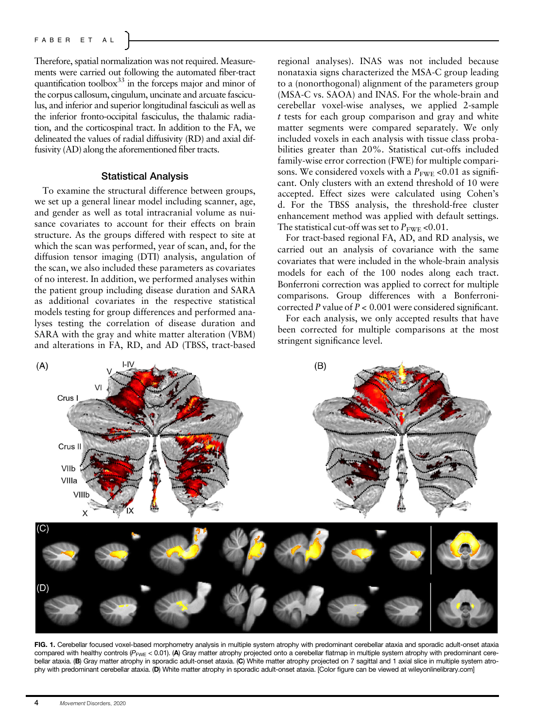Therefore, spatial normalization was not required. Measurements were carried out following the automated fiber-tract quantification toolbox $33$  in the forceps major and minor of the corpus callosum, cingulum, uncinate and arcuate fasciculus, and inferior and superior longitudinal fasciculi as well as the inferior fronto-occipital fasciculus, the thalamic radiation, and the corticospinal tract. In addition to the FA, we delineated the values of radial diffusivity (RD) and axial diffusivity (AD) along the aforementioned fiber tracts.

#### Statistical Analysis

To examine the structural difference between groups, we set up a general linear model including scanner, age, and gender as well as total intracranial volume as nuisance covariates to account for their effects on brain structure. As the groups differed with respect to site at which the scan was performed, year of scan, and, for the diffusion tensor imaging (DTI) analysis, angulation of the scan, we also included these parameters as covariates of no interest. In addition, we performed analyses within the patient group including disease duration and SARA as additional covariates in the respective statistical models testing for group differences and performed analyses testing the correlation of disease duration and SARA with the gray and white matter alteration (VBM) and alterations in FA, RD, and AD (TBSS, tract-based

regional analyses). INAS was not included because nonataxia signs characterized the MSA-C group leading to a (nonorthogonal) alignment of the parameters group (MSA-C vs. SAOA) and INAS. For the whole-brain and cerebellar voxel-wise analyses, we applied 2-sample t tests for each group comparison and gray and white matter segments were compared separately. We only included voxels in each analysis with tissue class probabilities greater than 20%. Statistical cut-offs included family-wise error correction (FWE) for multiple comparisons. We considered voxels with a  $P_{\text{FWF}}$  <0.01 as significant. Only clusters with an extend threshold of 10 were accepted. Effect sizes were calculated using Cohen's d. For the TBSS analysis, the threshold-free cluster enhancement method was applied with default settings. The statistical cut-off was set to  $P_{\text{FWE}}$  <0.01.

For tract-based regional FA, AD, and RD analysis, we carried out an analysis of covariance with the same covariates that were included in the whole-brain analysis models for each of the 100 nodes along each tract. Bonferroni correction was applied to correct for multiple comparisons. Group differences with a Bonferronicorrected P value of  $P < 0.001$  were considered significant.

For each analysis, we only accepted results that have been corrected for multiple comparisons at the most stringent significance level.



FIG. 1. Cerebellar focused voxel-based morphometry analysis in multiple system atrophy with predominant cerebellar ataxia and sporadic adult-onset ataxia compared with healthy controls ( $P_{\text{FWE}}$  < 0.01). (A) Gray matter atrophy projected onto a cerebellar flatmap in multiple system atrophy with predominant cerebellar ataxia. (B) Gray matter atrophy in sporadic adult-onset ataxia. (C) White matter atrophy projected on 7 sagittal and 1 axial slice in multiple system atrophy with predominant cerebellar ataxia. (D) White matter atrophy in sporadic adult-onset ataxia. [Color figure can be viewed at [wileyonlinelibrary.com](http://wileyonlinelibrary.com)]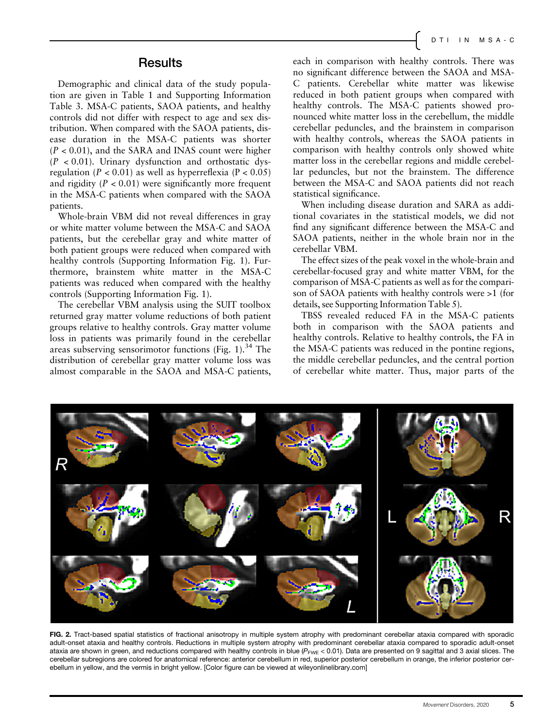#### **Results**

Demographic and clinical data of the study population are given in Table 1 and Supporting Information Table 3. MSA-C patients, SAOA patients, and healthy controls did not differ with respect to age and sex distribution. When compared with the SAOA patients, disease duration in the MSA-C patients was shorter  $(P < 0.01)$ , and the SARA and INAS count were higher  $(P < 0.01)$ . Urinary dysfunction and orthostatic dysregulation ( $P < 0.01$ ) as well as hyperreflexia ( $P < 0.05$ ) and rigidity  $(P < 0.01)$  were significantly more frequent in the MSA-C patients when compared with the SAOA patients.

Whole-brain VBM did not reveal differences in gray or white matter volume between the MSA-C and SAOA patients, but the cerebellar gray and white matter of both patient groups were reduced when compared with healthy controls (Supporting Information Fig. 1). Furthermore, brainstem white matter in the MSA-C patients was reduced when compared with the healthy controls (Supporting Information Fig. 1).

The cerebellar VBM analysis using the SUIT toolbox returned gray matter volume reductions of both patient groups relative to healthy controls. Gray matter volume loss in patients was primarily found in the cerebellar areas subserving sensorimotor functions (Fig. 1).<sup>34</sup> The distribution of cerebellar gray matter volume loss was almost comparable in the SAOA and MSA-C patients,

each in comparison with healthy controls. There was no significant difference between the SAOA and MSA-C patients. Cerebellar white matter was likewise reduced in both patient groups when compared with healthy controls. The MSA-C patients showed pronounced white matter loss in the cerebellum, the middle cerebellar peduncles, and the brainstem in comparison with healthy controls, whereas the SAOA patients in comparison with healthy controls only showed white matter loss in the cerebellar regions and middle cerebellar peduncles, but not the brainstem. The difference between the MSA-C and SAOA patients did not reach statistical significance.

When including disease duration and SARA as additional covariates in the statistical models, we did not find any significant difference between the MSA-C and SAOA patients, neither in the whole brain nor in the cerebellar VBM.

The effect sizes of the peak voxel in the whole-brain and cerebellar-focused gray and white matter VBM, for the comparison of MSA-C patients as well as for the comparison of SAOA patients with healthy controls were >1 (for details, see Supporting Information Table 5).

TBSS revealed reduced FA in the MSA-C patients both in comparison with the SAOA patients and healthy controls. Relative to healthy controls, the FA in the MSA-C patients was reduced in the pontine regions, the middle cerebellar peduncles, and the central portion of cerebellar white matter. Thus, major parts of the



FIG. 2. Tract-based spatial statistics of fractional anisotropy in multiple system atrophy with predominant cerebellar ataxia compared with sporadic adult-onset ataxia and healthy controls. Reductions in multiple system atrophy with predominant cerebellar ataxia compared to sporadic adult-onset ataxia are shown in green, and reductions compared with healthy controls in blue  $(P_{FWE} < 0.01)$ . Data are presented on 9 sagittal and 3 axial slices. The cerebellar subregions are colored for anatomical reference: anterior cerebellum in red, superior posterior cerebellum in orange, the inferior posterior cerebellum in yellow, and the vermis in bright yellow. [Color figure can be viewed at [wileyonlinelibrary.com\]](http://wileyonlinelibrary.com)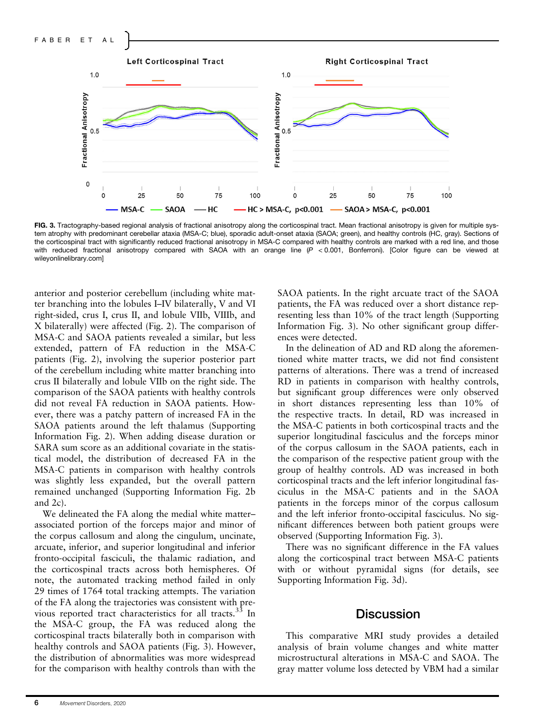

FIG. 3. Tractography-based regional analysis of fractional anisotropy along the corticospinal tract. Mean fractional anisotropy is given for multiple system atrophy with predominant cerebellar ataxia (MSA-C; blue), sporadic adult-onset ataxia (SAOA; green), and healthy controls (HC, gray). Sections of the corticospinal tract with significantly reduced fractional anisotropy in MSA-C compared with healthy controls are marked with a red line, and those with reduced fractional anisotropy compared with SAOA with an orange line (P < 0.001, Bonferroni). [Color figure can be viewed at [wileyonlinelibrary.com\]](http://wileyonlinelibrary.com)

anterior and posterior cerebellum (including white matter branching into the lobules I–IV bilaterally, V and VI right-sided, crus I, crus II, and lobule VIIb, VIIIb, and X bilaterally) were affected (Fig. 2). The comparison of MSA-C and SAOA patients revealed a similar, but less extended, pattern of FA reduction in the MSA-C patients (Fig. 2), involving the superior posterior part of the cerebellum including white matter branching into crus II bilaterally and lobule VIIb on the right side. The comparison of the SAOA patients with healthy controls did not reveal FA reduction in SAOA patients. However, there was a patchy pattern of increased FA in the SAOA patients around the left thalamus (Supporting Information Fig. 2). When adding disease duration or SARA sum score as an additional covariate in the statistical model, the distribution of decreased FA in the MSA-C patients in comparison with healthy controls was slightly less expanded, but the overall pattern remained unchanged (Supporting Information Fig. 2b and 2c).

We delineated the FA along the medial white matter– associated portion of the forceps major and minor of the corpus callosum and along the cingulum, uncinate, arcuate, inferior, and superior longitudinal and inferior fronto-occipital fasciculi, the thalamic radiation, and the corticospinal tracts across both hemispheres. Of note, the automated tracking method failed in only 29 times of 1764 total tracking attempts. The variation of the FA along the trajectories was consistent with previous reported tract characteristics for all tracts.<sup>33</sup> In the MSA-C group, the FA was reduced along the corticospinal tracts bilaterally both in comparison with healthy controls and SAOA patients (Fig. 3). However, the distribution of abnormalities was more widespread for the comparison with healthy controls than with the SAOA patients. In the right arcuate tract of the SAOA patients, the FA was reduced over a short distance representing less than 10% of the tract length (Supporting Information Fig. 3). No other significant group differences were detected.

In the delineation of AD and RD along the aforementioned white matter tracts, we did not find consistent patterns of alterations. There was a trend of increased RD in patients in comparison with healthy controls, but significant group differences were only observed in short distances representing less than 10% of the respective tracts. In detail, RD was increased in the MSA-C patients in both corticospinal tracts and the superior longitudinal fasciculus and the forceps minor of the corpus callosum in the SAOA patients, each in the comparison of the respective patient group with the group of healthy controls. AD was increased in both corticospinal tracts and the left inferior longitudinal fasciculus in the MSA-C patients and in the SAOA patients in the forceps minor of the corpus callosum and the left inferior fronto-occipital fasciculus. No significant differences between both patient groups were observed (Supporting Information Fig. 3).

There was no significant difference in the FA values along the corticospinal tract between MSA-C patients with or without pyramidal signs (for details, see Supporting Information Fig. 3d).

#### **Discussion**

This comparative MRI study provides a detailed analysis of brain volume changes and white matter microstructural alterations in MSA-C and SAOA. The gray matter volume loss detected by VBM had a similar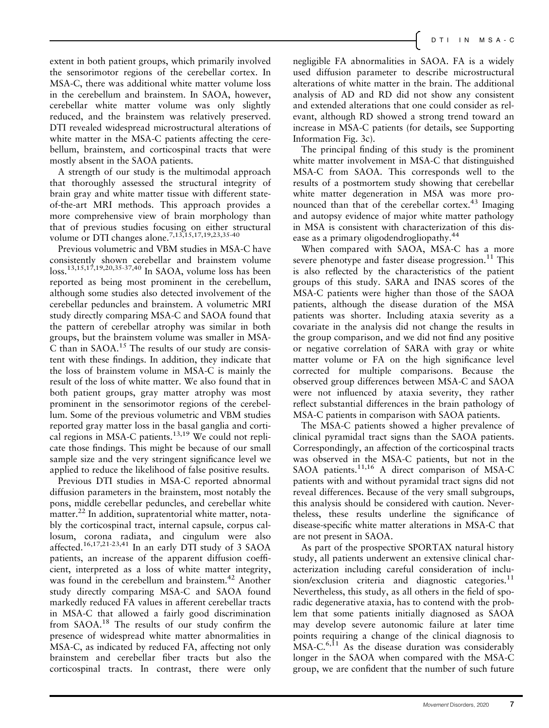extent in both patient groups, which primarily involved the sensorimotor regions of the cerebellar cortex. In MSA-C, there was additional white matter volume loss in the cerebellum and brainstem. In SAOA, however, cerebellar white matter volume was only slightly reduced, and the brainstem was relatively preserved. DTI revealed widespread microstructural alterations of white matter in the MSA-C patients affecting the cerebellum, brainstem, and corticospinal tracts that were mostly absent in the SAOA patients.

A strength of our study is the multimodal approach that thoroughly assessed the structural integrity of brain gray and white matter tissue with different stateof-the-art MRI methods. This approach provides a more comprehensive view of brain morphology than that of previous studies focusing on either structural volume or DTI changes alone.<sup>7,13,15,17,19,23,35-40</sup>

Previous volumetric and VBM studies in MSA-C have consistently shown cerebellar and brainstem volume loss.13,15,17,19,20,35-37,40 In SAOA, volume loss has been reported as being most prominent in the cerebellum, although some studies also detected involvement of the cerebellar peduncles and brainstem. A volumetric MRI study directly comparing MSA-C and SAOA found that the pattern of cerebellar atrophy was similar in both groups, but the brainstem volume was smaller in MSA-C than in  $SAOA$ <sup>15</sup>. The results of our study are consistent with these findings. In addition, they indicate that the loss of brainstem volume in MSA-C is mainly the result of the loss of white matter. We also found that in both patient groups, gray matter atrophy was most prominent in the sensorimotor regions of the cerebellum. Some of the previous volumetric and VBM studies reported gray matter loss in the basal ganglia and cortical regions in MSA-C patients.<sup>13,19</sup> We could not replicate those findings. This might be because of our small sample size and the very stringent significance level we applied to reduce the likelihood of false positive results.

Previous DTI studies in MSA-C reported abnormal diffusion parameters in the brainstem, most notably the pons, middle cerebellar peduncles, and cerebellar white matter.<sup>22</sup> In addition, supratentorial white matter, notably the corticospinal tract, internal capsule, corpus callosum, corona radiata, and cingulum were also affected.16,17,21-23,41 In an early DTI study of 3 SAOA patients, an increase of the apparent diffusion coefficient, interpreted as a loss of white matter integrity, was found in the cerebellum and brainstem.<sup>42</sup> Another study directly comparing MSA-C and SAOA found markedly reduced FA values in afferent cerebellar tracts in MSA-C that allowed a fairly good discrimination from SAOA.<sup>18</sup> The results of our study confirm the presence of widespread white matter abnormalities in MSA-C, as indicated by reduced FA, affecting not only brainstem and cerebellar fiber tracts but also the corticospinal tracts. In contrast, there were only negligible FA abnormalities in SAOA. FA is a widely used diffusion parameter to describe microstructural alterations of white matter in the brain. The additional analysis of AD and RD did not show any consistent and extended alterations that one could consider as relevant, although RD showed a strong trend toward an increase in MSA-C patients (for details, see Supporting Information Fig. 3c).

The principal finding of this study is the prominent white matter involvement in MSA-C that distinguished MSA-C from SAOA. This corresponds well to the results of a postmortem study showing that cerebellar white matter degeneration in MSA was more pronounced than that of the cerebellar cortex.<sup>43</sup> Imaging and autopsy evidence of major white matter pathology in MSA is consistent with characterization of this disease as a primary oligodendrogliopathy.<sup>44</sup>

When compared with SAOA, MSA-C has a more severe phenotype and faster disease progression.<sup>11</sup> This is also reflected by the characteristics of the patient groups of this study. SARA and INAS scores of the MSA-C patients were higher than those of the SAOA patients, although the disease duration of the MSA patients was shorter. Including ataxia severity as a covariate in the analysis did not change the results in the group comparison, and we did not find any positive or negative correlation of SARA with gray or white matter volume or FA on the high significance level corrected for multiple comparisons. Because the observed group differences between MSA-C and SAOA were not influenced by ataxia severity, they rather reflect substantial differences in the brain pathology of MSA-C patients in comparison with SAOA patients.

The MSA-C patients showed a higher prevalence of clinical pyramidal tract signs than the SAOA patients. Correspondingly, an affection of the corticospinal tracts was observed in the MSA-C patients, but not in the SAOA patients.<sup>11,16</sup> A direct comparison of MSA-C patients with and without pyramidal tract signs did not reveal differences. Because of the very small subgroups, this analysis should be considered with caution. Nevertheless, these results underline the significance of disease-specific white matter alterations in MSA-C that are not present in SAOA.

As part of the prospective SPORTAX natural history study, all patients underwent an extensive clinical characterization including careful consideration of inclusion/exclusion criteria and diagnostic categories.<sup>11</sup> Nevertheless, this study, as all others in the field of sporadic degenerative ataxia, has to contend with the problem that some patients initially diagnosed as SAOA may develop severe autonomic failure at later time points requiring a change of the clinical diagnosis to  $MSA-C.<sup>6,11</sup>$  As the disease duration was considerably longer in the SAOA when compared with the MSA-C group, we are confident that the number of such future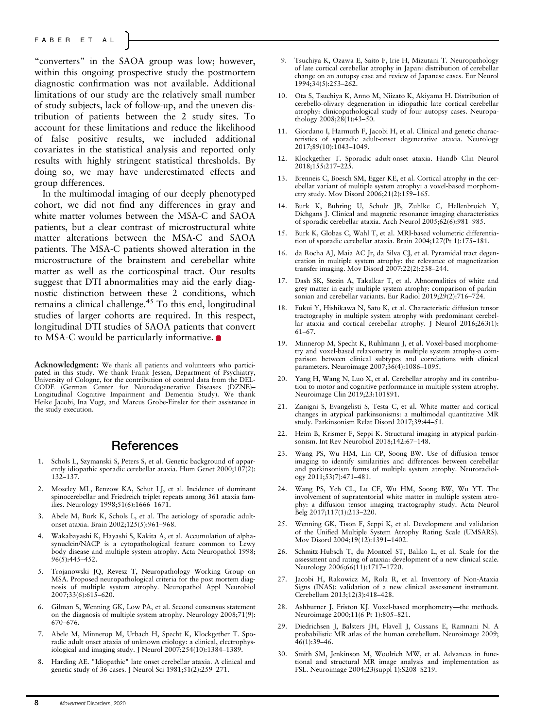"converters" in the SAOA group was low; however, within this ongoing prospective study the postmortem diagnostic confirmation was not available. Additional limitations of our study are the relatively small number of study subjects, lack of follow-up, and the uneven distribution of patients between the 2 study sites. To account for these limitations and reduce the likelihood of false positive results, we included additional covariates in the statistical analysis and reported only results with highly stringent statistical thresholds. By doing so, we may have underestimated effects and group differences.

In the multimodal imaging of our deeply phenotyped cohort, we did not find any differences in gray and white matter volumes between the MSA-C and SAOA patients, but a clear contrast of microstructural white matter alterations between the MSA-C and SAOA patients. The MSA-C patients showed alteration in the microstructure of the brainstem and cerebellar white matter as well as the corticospinal tract. Our results suggest that DTI abnormalities may aid the early diagnostic distinction between these 2 conditions, which remains a clinical challenge. $45$  To this end, longitudinal studies of larger cohorts are required. In this respect, longitudinal DTI studies of SAOA patients that convert to MSA-C would be particularly informative.

Acknowledgment: We thank all patients and volunteers who partici-pated in this study. We thank Frank Jessen, Department of Psychiatry, University of Cologne, for the contribution of control data from the DEL-CODE (German Center for Neurodegenerative Diseases (DZNE)– Longitudinal Cognitive Impairment and Dementia Study). We thank Heike Jacobi, Ina Vogt, and Marcus Grobe-Einsler for their assistance in the study execution.

### References

- 1. Schols L, Szymanski S, Peters S, et al. Genetic background of apparently idiopathic sporadic cerebellar ataxia. Hum Genet 2000;107(2): 132–137.
- 2. Moseley ML, Benzow KA, Schut LJ, et al. Incidence of dominant spinocerebellar and Friedreich triplet repeats among 361 ataxia families. Neurology 1998;51(6):1666–1671.
- 3. Abele M, Burk K, Schols L, et al. The aetiology of sporadic adultonset ataxia. Brain 2002;125(5):961–968.
- 4. Wakabayashi K, Hayashi S, Kakita A, et al. Accumulation of alphasynuclein/NACP is a cytopathological feature common to Lewy body disease and multiple system atrophy. Acta Neuropathol 1998; 96(5):445–452.
- 5. Trojanowski JQ, Revesz T, Neuropathology Working Group on MSA. Proposed neuropathological criteria for the post mortem diagnosis of multiple system atrophy. Neuropathol Appl Neurobiol 2007;33(6):615–620.
- 6. Gilman S, Wenning GK, Low PA, et al. Second consensus statement on the diagnosis of multiple system atrophy. Neurology 2008;71(9): 670–676.
- 7. Abele M, Minnerop M, Urbach H, Specht K, Klockgether T. Sporadic adult onset ataxia of unknown etiology: a clinical, electrophysiological and imaging study. J Neurol 2007;254(10):1384–1389.
- 8. Harding AE. "Idiopathic" late onset cerebellar ataxia. A clinical and genetic study of 36 cases. J Neurol Sci 1981;51(2):259–271.
- 9. Tsuchiya K, Ozawa E, Saito F, Irie H, Mizutani T. Neuropathology of late cortical cerebellar atrophy in Japan: distribution of cerebellar change on an autopsy case and review of Japanese cases. Eur Neurol 1994;34(5):253–262.
- 10. Ota S, Tsuchiya K, Anno M, Niizato K, Akiyama H. Distribution of cerebello-olivary degeneration in idiopathic late cortical cerebellar atrophy: clinicopathological study of four autopsy cases. Neuropathology  $2008;28(1):43-50$ .
- 11. Giordano I, Harmuth F, Jacobi H, et al. Clinical and genetic characteristics of sporadic adult-onset degenerative ataxia. Neurology 2017;89(10):1043–1049.
- 12. Klockgether T. Sporadic adult-onset ataxia. Handb Clin Neurol 2018;155:217–225.
- 13. Brenneis C, Boesch SM, Egger KE, et al. Cortical atrophy in the cerebellar variant of multiple system atrophy: a voxel-based morphometry study. Mov Disord 2006;21(2):159–165.
- 14. Burk K, Buhring U, Schulz JB, Zuhlke C, Hellenbroich Y, Dichgans J. Clinical and magnetic resonance imaging characteristics of sporadic cerebellar ataxia. Arch Neurol 2005;62(6):981–985.
- 15. Burk K, Globas C, Wahl T, et al. MRI-based volumetric differentiation of sporadic cerebellar ataxia. Brain 2004;127(Pt 1):175–181.
- 16. da Rocha AJ, Maia AC Jr, da Silva CJ, et al. Pyramidal tract degeneration in multiple system atrophy: the relevance of magnetization transfer imaging. Mov Disord 2007;22(2):238–244.
- 17. Dash SK, Stezin A, Takalkar T, et al. Abnormalities of white and grey matter in early multiple system atrophy: comparison of parkinsonian and cerebellar variants. Eur Radiol 2019;29(2):716–724.
- 18. Fukui Y, Hishikawa N, Sato K, et al. Characteristic diffusion tensor tractography in multiple system atrophy with predominant cerebellar ataxia and cortical cerebellar atrophy. J Neurol 2016;263(1): 61–67.
- 19. Minnerop M, Specht K, Ruhlmann J, et al. Voxel-based morphometry and voxel-based relaxometry in multiple system atrophy-a comparison between clinical subtypes and correlations with clinical parameters. Neuroimage 2007;36(4):1086–1095.
- 20. Yang H, Wang N, Luo X, et al. Cerebellar atrophy and its contribution to motor and cognitive performance in multiple system atrophy. Neuroimage Clin 2019;23:101891.
- 21. Zanigni S, Evangelisti S, Testa C, et al. White matter and cortical changes in atypical parkinsonisms: a multimodal quantitative MR study. Parkinsonism Relat Disord 2017;39:44–51.
- 22. Heim B, Krismer F, Seppi K. Structural imaging in atypical parkinsonism. Int Rev Neurobiol 2018;142:67–148.
- 23. Wang PS, Wu HM, Lin CP, Soong BW. Use of diffusion tensor imaging to identify similarities and differences between cerebellar and parkinsonism forms of multiple system atrophy. Neuroradiology 2011;53(7):471–481.
- 24. Wang PS, Yeh CL, Lu CF, Wu HM, Soong BW, Wu YT. The involvement of supratentorial white matter in multiple system atrophy: a diffusion tensor imaging tractography study. Acta Neurol Belg 2017;117(1):213–220.
- 25. Wenning GK, Tison F, Seppi K, et al. Development and validation of the Unified Multiple System Atrophy Rating Scale (UMSARS). Mov Disord 2004;19(12):1391–1402.
- 26. Schmitz-Hubsch T, du Montcel ST, Baliko L, et al. Scale for the assessment and rating of ataxia: development of a new clinical scale. Neurology 2006;66(11):1717–1720.
- 27. Jacobi H, Rakowicz M, Rola R, et al. Inventory of Non-Ataxia Signs (INAS): validation of a new clinical assessment instrument. Cerebellum 2013;12(3):418–428.
- 28. Ashburner J, Friston KJ. Voxel-based morphometry—the methods. Neuroimage 2000;11(6 Pt 1):805–821.
- 29. Diedrichsen J, Balsters JH, Flavell J, Cussans E, Ramnani N. A probabilistic MR atlas of the human cerebellum. Neuroimage 2009; 46(1):39–46.
- 30. Smith SM, Jenkinson M, Woolrich MW, et al. Advances in functional and structural MR image analysis and implementation as FSL. Neuroimage 2004;23(suppl 1):S208–S219.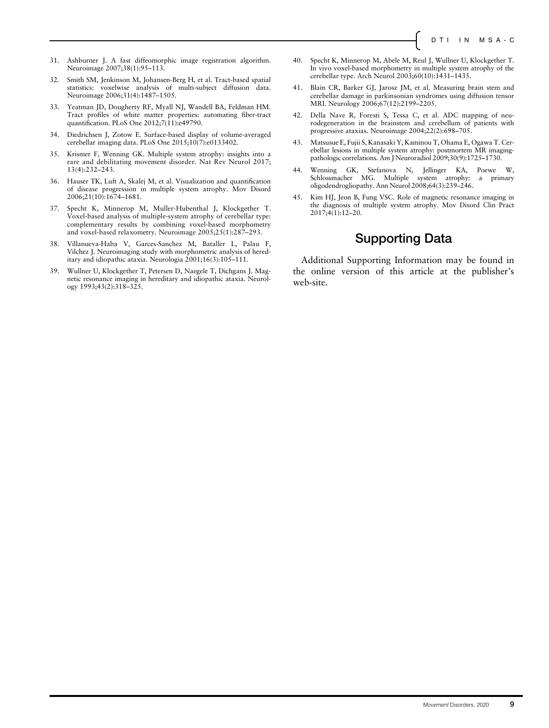- 31. Ashburner J. A fast diffeomorphic image registration algorithm. Neuroimage 2007;38(1):95–113.
- 32. Smith SM, Jenkinson M, Johansen-Berg H, et al. Tract-based spatial statistics: voxelwise analysis of multi-subject diffusion data. Neuroimage 2006;31(4):1487–1505.
- 33. Yeatman JD, Dougherty RF, Myall NJ, Wandell BA, Feldman HM. Tract profiles of white matter properties: automating fiber-tract quantification. PLoS One 2012;7(11):e49790.
- 34. Diedrichsen J, Zotow E. Surface-based display of volume-averaged cerebellar imaging data. PLoS One 2015;10(7):e0133402.
- 35. Krismer F, Wenning GK. Multiple system atrophy: insights into a rare and debilitating movement disorder. Nat Rev Neurol 2017; 13(4):232–243.
- 36. Hauser TK, Luft A, Skalej M, et al. Visualization and quantification of disease progression in multiple system atrophy. Mov Disord 2006;21(10):1674–1681.
- 37. Specht K, Minnerop M, Muller-Hubenthal J, Klockgether T. Voxel-based analysis of multiple-system atrophy of cerebellar type: complementary results by combining voxel-based morphometry and voxel-based relaxometry. Neuroimage 2005;25(1):287–293.
- 38. Villanueva-Haba V, Garces-Sanchez M, Bataller L, Palau F, Vilchez J. Neuroimaging study with morphometric analysis of hereditary and idiopathic ataxia. Neurologia 2001;16(3):105–111.
- 39. Wullner U, Klockgether T, Petersen D, Naegele T, Dichgans J. Magnetic resonance imaging in hereditary and idiopathic ataxia. Neurology 1993;43(2):318–325.
- 40. Specht K, Minnerop M, Abele M, Reul J, Wullner U, Klockgether T. In vivo voxel-based morphometry in multiple system atrophy of the cerebellar type. Arch Neurol 2003;60(10):1431–1435.
- 41. Blain CR, Barker GJ, Jarosz JM, et al. Measuring brain stem and cerebellar damage in parkinsonian syndromes using diffusion tensor MRI. Neurology 2006;67(12):2199–2205.
- 42. Della Nave R, Foresti S, Tessa C, et al. ADC mapping of neurodegeneration in the brainstem and cerebellum of patients with progressive ataxias. Neuroimage 2004;22(2):698–705.
- 43. Matsusue E, Fujii S, Kanasaki Y, Kaminou T, Ohama E, Ogawa T. Cerebellar lesions in multiple system atrophy: postmortem MR imagingpathologic correlations. Am J Neuroradiol 2009;30(9):1725–1730.
- 44. Wenning GK, Stefanova N, Jellinger KA, Poewe W, Schlossmacher MG. Multiple system atrophy: a primary oligodendrogliopathy. Ann Neurol 2008;64(3):239–246.
- 45. Kim HJ, Jeon B, Fung VSC. Role of magnetic resonance imaging in the diagnosis of multiple system atrophy. Mov Disord Clin Pract 2017;4(1):12–20.

### Supporting Data

Additional Supporting Information may be found in the online version of this article at the publisher's web-site.